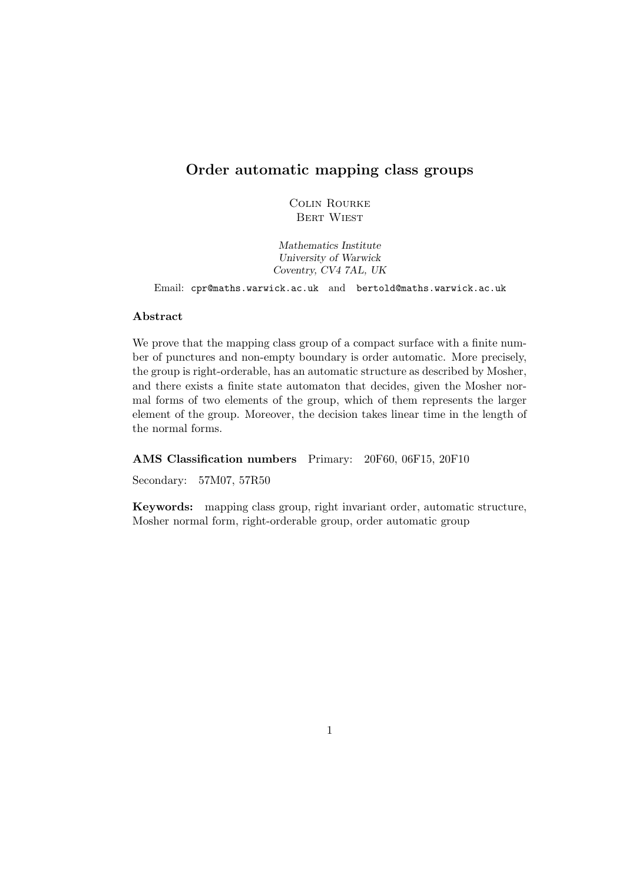# **Order automatic mapping class groups**

Colin Rourke Bert Wiest

*Mathematics Institute University of Warwick Coventry, CV4 7AL, UK*

Email: cpr@maths.warwick.ac.uk and bertold@maths.warwick.ac.uk

## **Abstract**

We prove that the mapping class group of a compact surface with a finite number of punctures and non-empty boundary is order automatic. More precisely, the group is right-orderable, has an automatic structure as described by Mosher, and there exists a finite state automaton that decides, given the Mosher normal forms of two elements of the group, which of them represents the larger element of the group. Moreover, the decision takes linear time in the length of the normal forms.

#### **AMS Classification numbers** Primary: 20F60, 06F15, 20F10

Secondary: 57M07, 57R50

**Keywords:** mapping class group, right invariant order, automatic structure, Mosher normal form, right-orderable group, order automatic group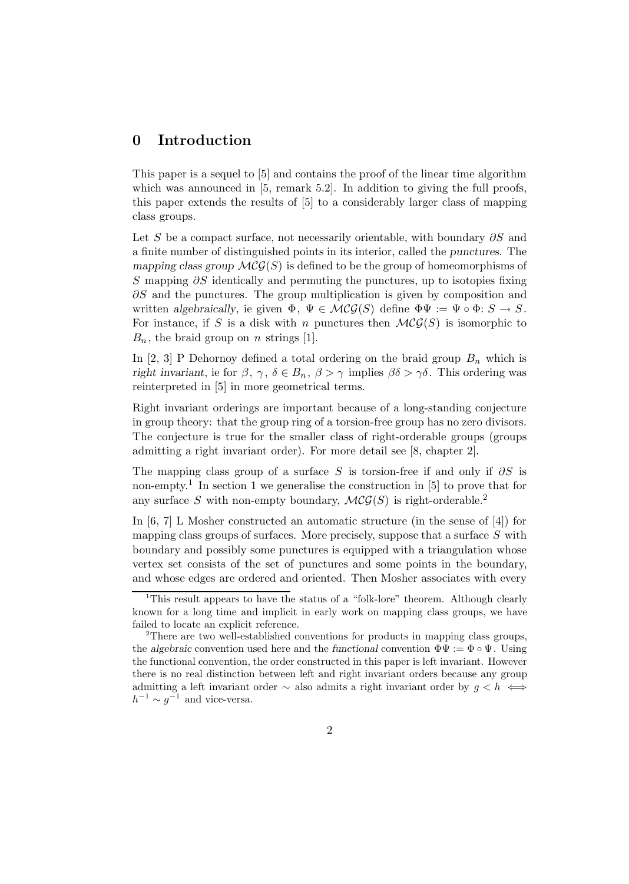# **0 Introduction**

This paper is a sequel to [5] and contains the proof of the linear time algorithm which was announced in  $[5,$  remark 5.2. In addition to giving the full proofs, this paper extends the results of [5] to a considerably larger class of mapping class groups.

Let S be a compact surface, not necessarily orientable, with boundary  $\partial S$  and a finite number of distinguished points in its interior, called the *punctures*. The *mapping class group*  $\mathcal{MCG}(S)$  is defined to be the group of homeomorphisms of S mapping  $\partial S$  identically and permuting the punctures, up to isotopies fixing  $\partial S$  and the punctures. The group multiplication is given by composition and written *algebraically*, ie given  $\Phi$ ,  $\Psi \in \mathcal{MCG}(S)$  define  $\Phi\Psi := \Psi \circ \Phi$ :  $S \to S$ . For instance, if S is a disk with n punctures then  $\mathcal{MCG}(S)$  is isomorphic to  $B_n$ , the braid group on n strings [1].

In [2, 3] P Dehornoy defined a total ordering on the braid group  $B_n$  which is *right invariant*, ie for  $\beta$ ,  $\gamma$ ,  $\delta \in B_n$ ,  $\beta > \gamma$  implies  $\beta \delta > \gamma \delta$ . This ordering was reinterpreted in [5] in more geometrical terms.

Right invariant orderings are important because of a long-standing conjecture in group theory: that the group ring of a torsion-free group has no zero divisors. The conjecture is true for the smaller class of right-orderable groups (groups admitting a right invariant order). For more detail see [8, chapter 2].

The mapping class group of a surface S is torsion-free if and only if  $\partial S$  is non-empty.<sup>1</sup> In section 1 we generalise the construction in [5] to prove that for any surface S with non-empty boundary,  $\mathcal{MCG}(S)$  is right-orderable.<sup>2</sup>

In [6, 7] L Mosher constructed an automatic structure (in the sense of [4]) for mapping class groups of surfaces. More precisely, suppose that a surface  $S$  with boundary and possibly some punctures is equipped with a triangulation whose vertex set consists of the set of punctures and some points in the boundary, and whose edges are ordered and oriented. Then Mosher associates with every

<sup>&</sup>lt;sup>1</sup>This result appears to have the status of a "folk-lore" theorem. Although clearly known for a long time and implicit in early work on mapping class groups, we have failed to locate an explicit reference.

<sup>2</sup>There are two well-established conventions for products in mapping class groups, the *algebraic* convention used here and the *functional* convention  $\Phi \Psi := \Phi \circ \Psi$ . Using the functional convention, the order constructed in this paper is left invariant. However there is no real distinction between left and right invariant orders because any group admitting a left invariant order  $\sim$  also admits a right invariant order by  $g < h \iff$  $h^{-1} \sim g^{-1}$  and vice-versa.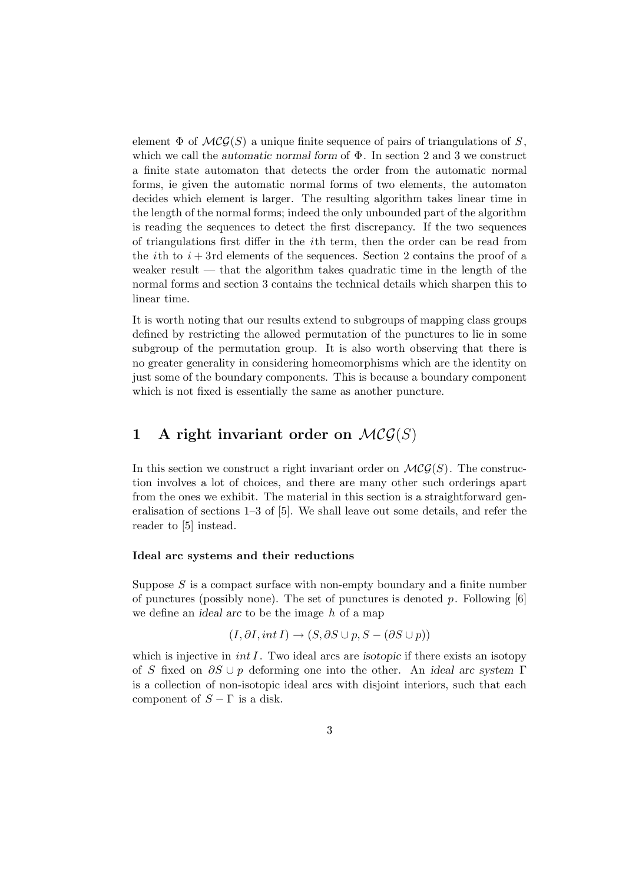element  $\Phi$  of  $\mathcal{MCG}(S)$  a unique finite sequence of pairs of triangulations of S, which we call the *automatic normal form* of Φ. In section 2 and 3 we construct a finite state automaton that detects the order from the automatic normal forms, ie given the automatic normal forms of two elements, the automaton decides which element is larger. The resulting algorithm takes linear time in the length of the normal forms; indeed the only unbounded part of the algorithm is reading the sequences to detect the first discrepancy. If the two sequences of triangulations first differ in the ith term, then the order can be read from the *i*th to  $i + 3$ rd elements of the sequences. Section 2 contains the proof of a weaker result — that the algorithm takes quadratic time in the length of the normal forms and section 3 contains the technical details which sharpen this to linear time.

It is worth noting that our results extend to subgroups of mapping class groups defined by restricting the allowed permutation of the punctures to lie in some subgroup of the permutation group. It is also worth observing that there is no greater generality in considering homeomorphisms which are the identity on just some of the boundary components. This is because a boundary component which is not fixed is essentially the same as another puncture.

# **1** A right invariant order on  $MCG(S)$

In this section we construct a right invariant order on  $\mathcal{MCG}(S)$ . The construction involves a lot of choices, and there are many other such orderings apart from the ones we exhibit. The material in this section is a straightforward generalisation of sections 1–3 of [5]. We shall leave out some details, and refer the reader to [5] instead.

#### **Ideal arc systems and their reductions**

Suppose  $S$  is a compact surface with non-empty boundary and a finite number of punctures (possibly none). The set of punctures is denoted  $p$ . Following [6] we define an *ideal arc* to be the image h of a map

$$
(I, \partial I, int I) \to (S, \partial S \cup p, S - (\partial S \cup p))
$$

which is injective in *int I*. Two ideal arcs are *isotopic* if there exists an isotopy of S fixed on ∂S ∪ p deforming one into the other. An *ideal arc system* Γ is a collection of non-isotopic ideal arcs with disjoint interiors, such that each component of  $S - \Gamma$  is a disk.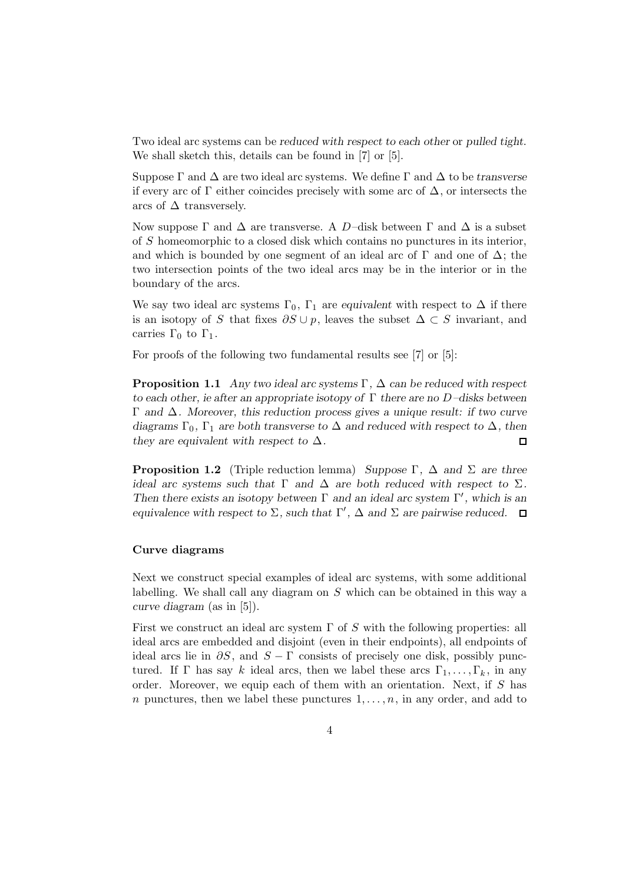Two ideal arc systems can be *reduced with respect to each other* or *pulled tight*. We shall sketch this, details can be found in [7] or [5].

Suppose Γ and ∆ are two ideal arc systems. We define Γ and ∆ to be *transverse* if every arc of  $\Gamma$  either coincides precisely with some arc of  $\Delta$ , or intersects the arcs of  $\Delta$  transversely.

Now suppose  $\Gamma$  and  $\Delta$  are transverse. A D-disk between  $\Gamma$  and  $\Delta$  is a subset of S homeomorphic to a closed disk which contains no punctures in its interior, and which is bounded by one segment of an ideal arc of  $\Gamma$  and one of  $\Delta$ ; the two intersection points of the two ideal arcs may be in the interior or in the boundary of the arcs.

We say two ideal arc systems  $\Gamma_0$ ,  $\Gamma_1$  are *equivalent* with respect to  $\Delta$  if there is an isotopy of S that fixes  $\partial S \cup p$ , leaves the subset  $\Delta \subset S$  invariant, and carries  $\Gamma_0$  to  $\Gamma_1$ .

For proofs of the following two fundamental results see [7] or [5]:

**Proposition 1.1** *Any two ideal arc systems* Γ*,* ∆ *can be reduced with respect to each other, ie after an appropriate isotopy of* Γ *there are no* D*–disks between* Γ *and* ∆*. Moreover, this reduction process gives a unique result: if two curve diagrams*  $\Gamma_0$ ,  $\Gamma_1$  *are both transverse to*  $\Delta$  *and reduced with respect to*  $\Delta$ *, then they are equivalent with respect to*  $\Delta$ *.*  $\Box$ 

**Proposition 1.2** (Triple reduction lemma) *Suppose* Γ*,* ∆ *and* Σ *are three ideal arc systems such that*  $\Gamma$  *and*  $\Delta$  *are both reduced with respect to*  $\Sigma$ *. Then there exists an isotopy between*  $\Gamma$  *and an ideal arc system*  $\Gamma'$ *, which is an equivalence with respect to*  $\Sigma$ *, such that*  $\Gamma'$ *,*  $\Delta$  *and*  $\Sigma$  *are pairwise reduced.* 

#### **Curve diagrams**

Next we construct special examples of ideal arc systems, with some additional labelling. We shall call any diagram on S which can be obtained in this way a *curve diagram* (as in [5]).

First we construct an ideal arc system  $\Gamma$  of S with the following properties: all ideal arcs are embedded and disjoint (even in their endpoints), all endpoints of ideal arcs lie in  $\partial S$ , and  $S - \Gamma$  consists of precisely one disk, possibly punctured. If Γ has say k ideal arcs, then we label these arcs  $\Gamma_1,\ldots,\Gamma_k$ , in any order. Moreover, we equip each of them with an orientation. Next, if S has n punctures, then we label these punctures  $1, \ldots, n$ , in any order, and add to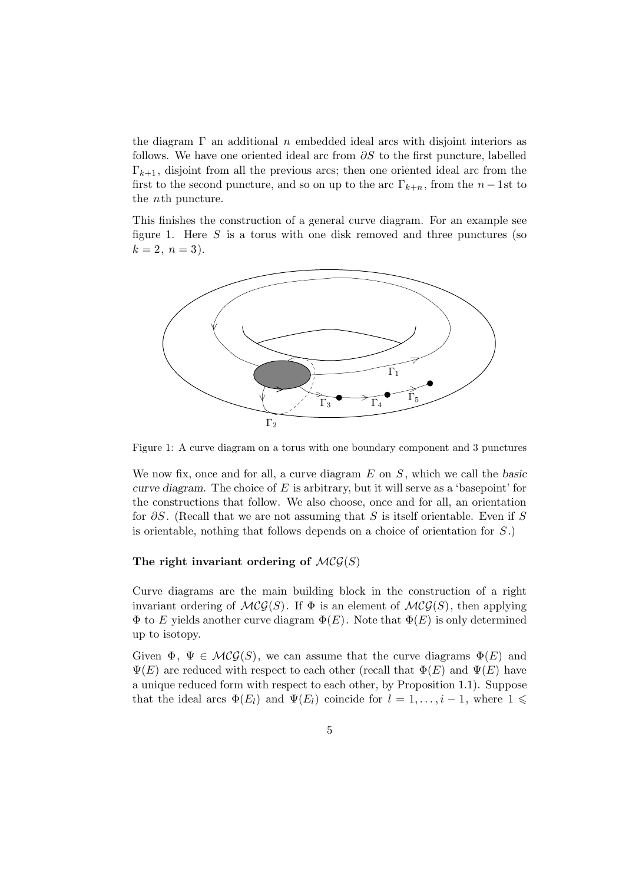the diagram  $\Gamma$  an additional n embedded ideal arcs with disjoint interiors as follows. We have one oriented ideal arc from  $\partial S$  to the first puncture, labelled  $\Gamma_{k+1}$ , disjoint from all the previous arcs; then one oriented ideal arc from the first to the second puncture, and so on up to the arc  $\Gamma_{k+n}$ , from the  $n-1$ st to the nth puncture.

This finishes the construction of a general curve diagram. For an example see figure 1. Here  $S$  is a torus with one disk removed and three punctures (so  $k = 2, n = 3$ .



Figure 1: A curve diagram on a torus with one boundary component and 3 punctures

We now fix, once and for all, a curve diagram E on S, which we call the *basic curve diagram*. The choice of E is arbitrary, but it will serve as a 'basepoint' for the constructions that follow. We also choose, once and for all, an orientation for  $\partial S$ . (Recall that we are not assuming that S is itself orientable. Even if S is orientable, nothing that follows depends on a choice of orientation for S.)

## The right invariant ordering of  $MCG(S)$

Curve diagrams are the main building block in the construction of a right invariant ordering of  $MCG(S)$ . If  $\Phi$  is an element of  $MCG(S)$ , then applying  $\Phi$  to E yields another curve diagram  $\Phi(E)$ . Note that  $\Phi(E)$  is only determined up to isotopy.

Given  $\Phi$ ,  $\Psi \in \mathcal{MCG}(S)$ , we can assume that the curve diagrams  $\Phi(E)$  and  $\Psi(E)$  are reduced with respect to each other (recall that  $\Phi(E)$  and  $\Psi(E)$  have a unique reduced form with respect to each other, by Proposition 1.1). Suppose that the ideal arcs  $\Phi(E_l)$  and  $\Psi(E_l)$  coincide for  $l = 1, \ldots, i-1$ , where  $1 \leq$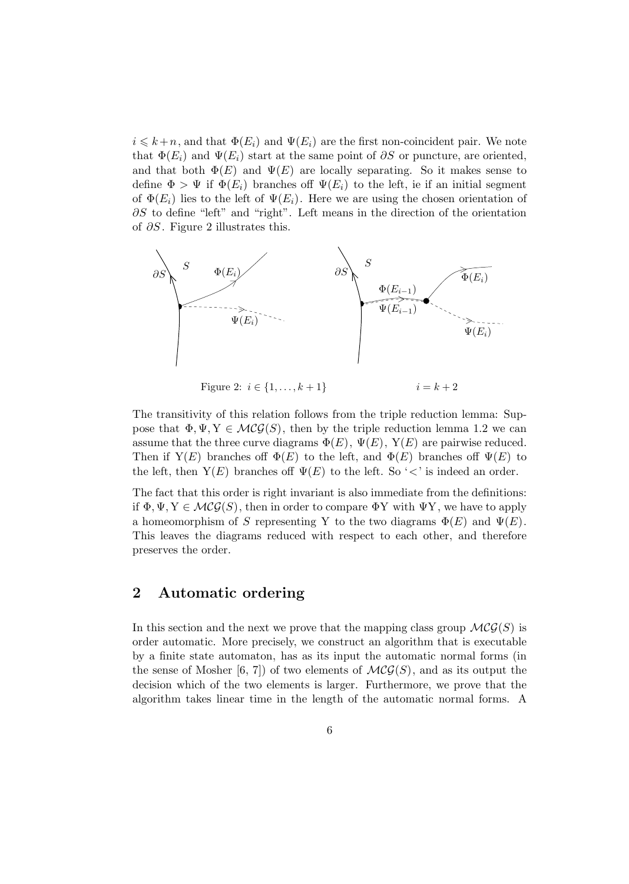$i \leq k+n$ , and that  $\Phi(E_i)$  and  $\Psi(E_i)$  are the first non-coincident pair. We note that  $\Phi(E_i)$  and  $\Psi(E_i)$  start at the same point of  $\partial S$  or puncture, are oriented, and that both  $\Phi(E)$  and  $\Psi(E)$  are locally separating. So it makes sense to define  $\Phi > \Psi$  if  $\Phi(E_i)$  branches off  $\Psi(E_i)$  to the left, ie if an initial segment of  $\Phi(E_i)$  lies to the left of  $\Psi(E_i)$ . Here we are using the chosen orientation of ∂S to define "left" and "right". Left means in the direction of the orientation of ∂S. Figure 2 illustrates this.



Figure 2:  $i \in \{1, ..., k + 1\}$   $i = k + 2$ 

The transitivity of this relation follows from the triple reduction lemma: Suppose that  $\Phi, \Psi, Y \in \mathcal{MCG}(S)$ , then by the triple reduction lemma 1.2 we can assume that the three curve diagrams  $\Phi(E)$ ,  $\Psi(E)$ ,  $Y(E)$  are pairwise reduced. Then if  $Y(E)$  branches off  $\Phi(E)$  to the left, and  $\Phi(E)$  branches off  $\Psi(E)$  to the left, then  $Y(E)$  branches off  $\Psi(E)$  to the left. So ' $\lt'$ ' is indeed an order.

The fact that this order is right invariant is also immediate from the definitions: if  $\Phi, \Psi, Y \in \mathcal{MCG}(S)$ , then in order to compare  $\Phi Y$  with  $\Psi Y$ , we have to apply a homeomorphism of S representing Y to the two diagrams  $\Phi(E)$  and  $\Psi(E)$ . This leaves the diagrams reduced with respect to each other, and therefore preserves the order.

# **2 Automatic ordering**

In this section and the next we prove that the mapping class group  $\mathcal{MCG}(S)$  is order automatic. More precisely, we construct an algorithm that is executable by a finite state automaton, has as its input the automatic normal forms (in the sense of Mosher [6, 7]) of two elements of  $MCG(S)$ , and as its output the decision which of the two elements is larger. Furthermore, we prove that the algorithm takes linear time in the length of the automatic normal forms. A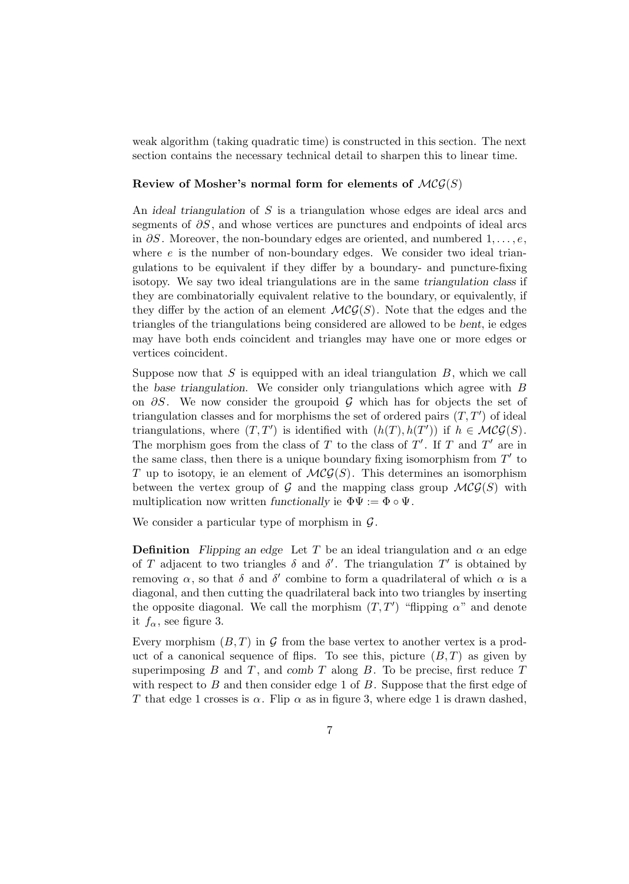weak algorithm (taking quadratic time) is constructed in this section. The next section contains the necessary technical detail to sharpen this to linear time.

#### **Review of Mosher's normal form for elements of**  $MCG(S)$

An *ideal triangulation* of S is a triangulation whose edges are ideal arcs and segments of  $\partial S$ , and whose vertices are punctures and endpoints of ideal arcs in  $\partial S$ . Moreover, the non-boundary edges are oriented, and numbered 1,...,e, where  $e$  is the number of non-boundary edges. We consider two ideal triangulations to be equivalent if they differ by a boundary- and puncture-fixing isotopy. We say two ideal triangulations are in the same *triangulation class* if they are combinatorially equivalent relative to the boundary, or equivalently, if they differ by the action of an element  $MCG(S)$ . Note that the edges and the triangles of the triangulations being considered are allowed to be *bent*, ie edges may have both ends coincident and triangles may have one or more edges or vertices coincident.

Suppose now that  $S$  is equipped with an ideal triangulation  $B$ , which we call the *base triangulation*. We consider only triangulations which agree with B on  $\partial S$ . We now consider the groupoid G which has for objects the set of triangulation classes and for morphisms the set of ordered pairs  $(T, T')$  of ideal triangulations, where  $(T, T')$  is identified with  $(h(T), h(T'))$  if  $h \in \mathcal{MCG}(S)$ . The morphism goes from the class of T to the class of  $T'$ . If T and  $T'$  are in the same class, then there is a unique boundary fixing isomorphism from  $T'$  to T up to isotopy, ie an element of  $\mathcal{MCG}(S)$ . This determines an isomorphism between the vertex group of G and the mapping class group  $MCG(S)$  with multiplication now written *functionally* ie  $\Phi \Psi := \Phi \circ \Psi$ .

We consider a particular type of morphism in  $\mathcal{G}$ .

**Definition** *Flipping an edge* Let T be an ideal triangulation and  $\alpha$  an edge of T adjacent to two triangles  $\delta$  and  $\delta'$ . The triangulation  $T'$  is obtained by removing  $\alpha$ , so that  $\delta$  and  $\delta'$  combine to form a quadrilateral of which  $\alpha$  is a diagonal, and then cutting the quadrilateral back into two triangles by inserting the opposite diagonal. We call the morphism  $(T, T')$  "flipping  $\alpha$ " and denote it  $f_{\alpha}$ , see figure 3.

Every morphism  $(B, T)$  in G from the base vertex to another vertex is a product of a canonical sequence of flips. To see this, picture  $(B,T)$  as given by superimposing  $B$  and  $T$ , and  $comb T$  along  $B$ . To be precise, first reduce  $T$ with respect to  $B$  and then consider edge 1 of  $B$ . Suppose that the first edge of T that edge 1 crosses is  $\alpha$ . Flip  $\alpha$  as in figure 3, where edge 1 is drawn dashed,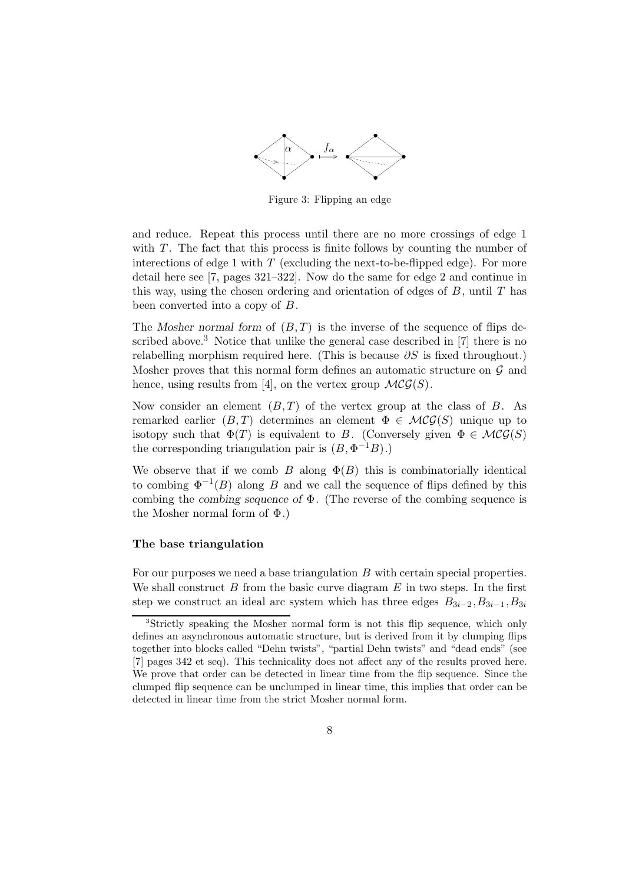

Figure 3: Flipping an edge

and reduce. Repeat this process until there are no more crossings of edge 1 with  $T$ . The fact that this process is finite follows by counting the number of interections of edge 1 with  $T$  (excluding the next-to-be-flipped edge). For more detail here see [7, pages 321–322]. Now do the same for edge 2 and continue in this way, using the chosen ordering and orientation of edges of  $B$ , until  $T$  has been converted into a copy of B.

The *Mosher normal form* of (B,T) is the inverse of the sequence of flips described above.<sup>3</sup> Notice that unlike the general case described in [7] there is no relabelling morphism required here. (This is because  $\partial S$  is fixed throughout.) Mosher proves that this normal form defines an automatic structure on  $\mathcal G$  and hence, using results from [4], on the vertex group  $\mathcal{MCG}(S)$ .

Now consider an element  $(B,T)$  of the vertex group at the class of B. As remarked earlier  $(B,T)$  determines an element  $\Phi \in \mathcal{MCG}(S)$  unique up to isotopy such that  $\Phi(T)$  is equivalent to B. (Conversely given  $\Phi \in \mathcal{MCG}(S)$ the corresponding triangulation pair is  $(B, \Phi^{-1}B)$ .)

We observe that if we comb B along  $\Phi(B)$  this is combinatorially identical to combing  $\Phi^{-1}(B)$  along B and we call the sequence of flips defined by this combing the *combing sequence of* Φ. (The reverse of the combing sequence is the Mosher normal form of  $\Phi$ .)

#### **The base triangulation**

For our purposes we need a base triangulation B with certain special properties. We shall construct  $B$  from the basic curve diagram  $E$  in two steps. In the first step we construct an ideal arc system which has three edges  $B_{3i-2}, B_{3i-1}, B_{3i}$ 

<sup>&</sup>lt;sup>3</sup>Strictly speaking the Mosher normal form is not this flip sequence, which only defines an asynchronous automatic structure, but is derived from it by clumping flips together into blocks called "Dehn twists", "partial Dehn twists" and "dead ends" (see [7] pages 342 et seq). This technicality does not affect any of the results proved here. We prove that order can be detected in linear time from the flip sequence. Since the clumped flip sequence can be unclumped in linear time, this implies that order can be detected in linear time from the strict Mosher normal form.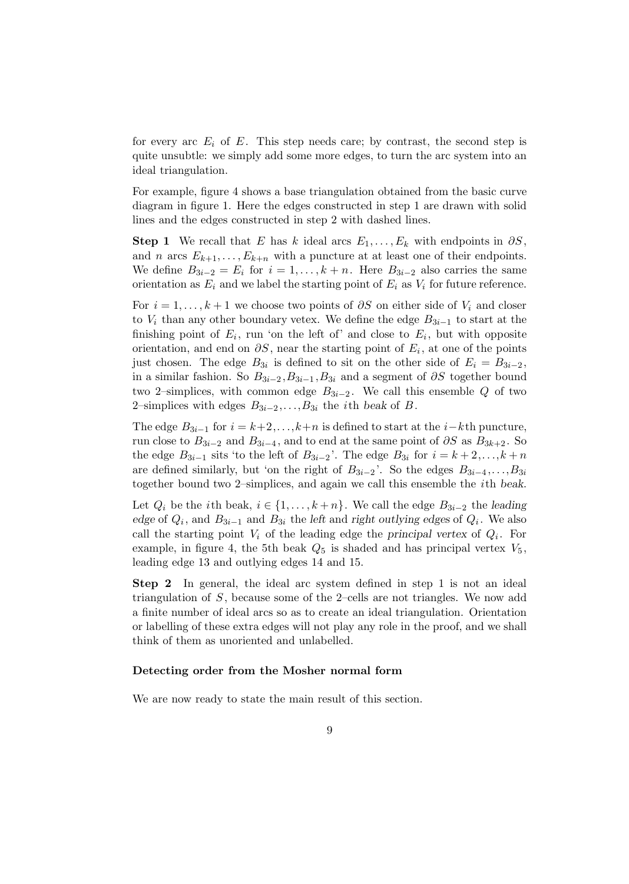for every arc  $E_i$  of E. This step needs care; by contrast, the second step is quite unsubtle: we simply add some more edges, to turn the arc system into an ideal triangulation.

For example, figure 4 shows a base triangulation obtained from the basic curve diagram in figure 1. Here the edges constructed in step 1 are drawn with solid lines and the edges constructed in step 2 with dashed lines.

**Step 1** We recall that E has k ideal arcs  $E_1, \ldots, E_k$  with endpoints in  $\partial S$ , and *n* arcs  $E_{k+1}, \ldots, E_{k+n}$  with a puncture at at least one of their endpoints. We define  $B_{3i-2} = E_i$  for  $i = 1, ..., k+n$ . Here  $B_{3i-2}$  also carries the same orientation as  $E_i$  and we label the starting point of  $E_i$  as  $V_i$  for future reference.

For  $i = 1, \ldots, k + 1$  we choose two points of  $\partial S$  on either side of  $V_i$  and closer to  $V_i$  than any other boundary vetex. We define the edge  $B_{3i-1}$  to start at the finishing point of  $E_i$ , run 'on the left of' and close to  $E_i$ , but with opposite orientation, and end on  $\partial S$ , near the starting point of  $E_i$ , at one of the points just chosen. The edge  $B_{3i}$  is defined to sit on the other side of  $E_i = B_{3i-2}$ , in a similar fashion. So  $B_{3i-2}, B_{3i-1}, B_{3i}$  and a segment of  $\partial S$  together bound two 2–simplices, with common edge  $B_{3i-2}$ . We call this ensemble Q of two 2–simplices with edges  $B_{3i-2}, \ldots, B_{3i}$  the *i*th *beak* of *B*.

The edge  $B_{3i-1}$  for  $i = k+2,...,k+n$  is defined to start at the  $i-k$ th puncture, run close to  $B_{3i-2}$  and  $B_{3i-4}$ , and to end at the same point of  $\partial S$  as  $B_{3k+2}$ . So the edge  $B_{3i-1}$  sits 'to the left of  $B_{3i-2}$ '. The edge  $B_{3i}$  for  $i = k+2,\ldots,k+n$ are defined similarly, but 'on the right of  $B_{3i-2}$ '. So the edges  $B_{3i-4},\ldots,B_{3i}$ together bound two 2–simplices, and again we call this ensemble the ith *beak*.

Let  $Q_i$  be the *i*th beak,  $i \in \{1, \ldots, k+n\}$ . We call the edge  $B_{3i-2}$  the *leading edge* of Qi, and B3i−<sup>1</sup> and B3<sup>i</sup> the *left* and *right outlying edges* of Qi. We also call the starting point  $V_i$  of the leading edge the *principal vertex* of  $Q_i$ . For example, in figure 4, the 5th beak  $Q_5$  is shaded and has principal vertex  $V_5$ , leading edge 13 and outlying edges 14 and 15.

**Step 2** In general, the ideal arc system defined in step 1 is not an ideal triangulation of S, because some of the 2–cells are not triangles. We now add a finite number of ideal arcs so as to create an ideal triangulation. Orientation or labelling of these extra edges will not play any role in the proof, and we shall think of them as unoriented and unlabelled.

#### **Detecting order from the Mosher normal form**

We are now ready to state the main result of this section.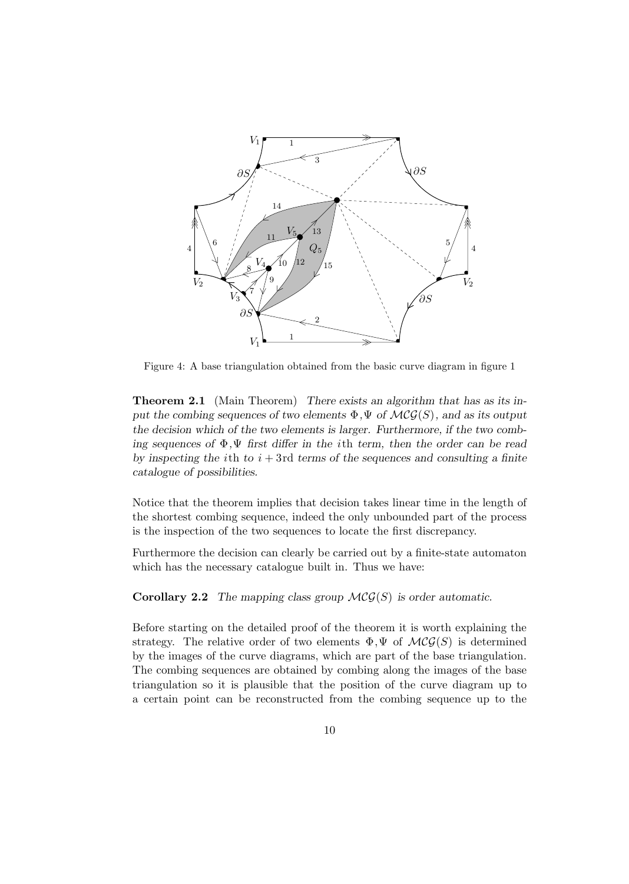

Figure 4: A base triangulation obtained from the basic curve diagram in figure 1

**Theorem 2.1** (Main Theorem) *There exists an algorithm that has as its input the combing sequences of two elements*  $\Phi$ ,  $\Psi$  *of*  $\mathcal{MCG}(S)$ *, and as its output the decision which of the two elements is larger. Furthermore, if the two combing sequences of* Φ*,*Ψ *first differ in the* ith *term, then the order can be read by inspecting the ith to*  $i + 3$ rd *terms of the sequences and consulting a finite catalogue of possibilities.*

Notice that the theorem implies that decision takes linear time in the length of the shortest combing sequence, indeed the only unbounded part of the process is the inspection of the two sequences to locate the first discrepancy.

Furthermore the decision can clearly be carried out by a finite-state automaton which has the necessary catalogue built in. Thus we have:

**Corollary 2.2** *The mapping class group*  $\mathcal{MCG}(S)$  *is order automatic.* 

Before starting on the detailed proof of the theorem it is worth explaining the strategy. The relative order of two elements  $\Phi, \Psi$  of  $\mathcal{MCG}(S)$  is determined by the images of the curve diagrams, which are part of the base triangulation. The combing sequences are obtained by combing along the images of the base triangulation so it is plausible that the position of the curve diagram up to a certain point can be reconstructed from the combing sequence up to the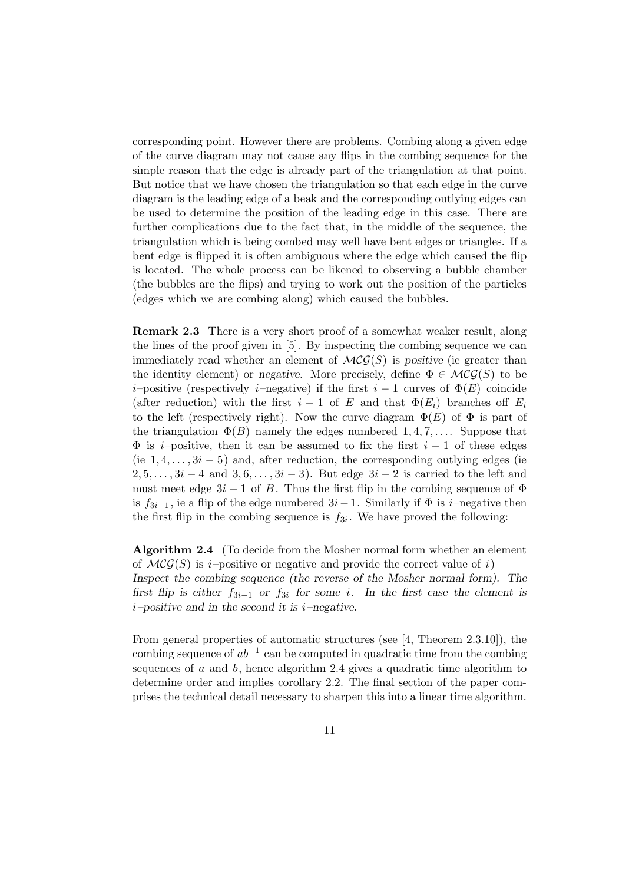corresponding point. However there are problems. Combing along a given edge of the curve diagram may not cause any flips in the combing sequence for the simple reason that the edge is already part of the triangulation at that point. But notice that we have chosen the triangulation so that each edge in the curve diagram is the leading edge of a beak and the corresponding outlying edges can be used to determine the position of the leading edge in this case. There are further complications due to the fact that, in the middle of the sequence, the triangulation which is being combed may well have bent edges or triangles. If a bent edge is flipped it is often ambiguous where the edge which caused the flip is located. The whole process can be likened to observing a bubble chamber (the bubbles are the flips) and trying to work out the position of the particles (edges which we are combing along) which caused the bubbles.

**Remark 2.3** There is a very short proof of a somewhat weaker result, along the lines of the proof given in [5]. By inspecting the combing sequence we can immediately read whether an element of  $\mathcal{MCG}(S)$  is *positive* (ie greater than the identity element) or *negative*. More precisely, define  $\Phi \in \mathcal{MCG}(S)$  to be i–positive (respectively i–negative) if the first  $i-1$  curves of  $\Phi(E)$  coincide (after reduction) with the first  $i-1$  of E and that  $\Phi(E_i)$  branches off  $E_i$ to the left (respectively right). Now the curve diagram  $\Phi(E)$  of  $\Phi$  is part of the triangulation  $\Phi(B)$  namely the edges numbered 1,4,7,.... Suppose that  $\Phi$  is *i*–positive, then it can be assumed to fix the first  $i - 1$  of these edges (ie  $1, 4, \ldots, 3i - 5$ ) and, after reduction, the corresponding outlying edges (ie  $2, 5, \ldots, 3i-4$  and  $3, 6, \ldots, 3i-3$ . But edge  $3i-2$  is carried to the left and must meet edge  $3i - 1$  of B. Thus the first flip in the combing sequence of  $\Phi$ is  $f_{3i-1}$ , ie a flip of the edge numbered  $3i-1$ . Similarly if  $\Phi$  is i–negative then the first flip in the combing sequence is  $f_{3i}$ . We have proved the following:

**Algorithm 2.4** (To decide from the Mosher normal form whether an element of  $\mathcal{MCG}(S)$  is i–positive or negative and provide the correct value of i) *Inspect the combing sequence (the reverse of the Mosher normal form). The first flip is either*  $f_{3i-1}$  *or*  $f_{3i}$  *for some i*. In the first case the element is i*–positive and in the second it is* i*–negative.*

From general properties of automatic structures (see [4, Theorem 2.3.10]), the combing sequence of  $ab^{-1}$  can be computed in quadratic time from the combing sequences of  $a$  and  $b$ , hence algorithm 2.4 gives a quadratic time algorithm to determine order and implies corollary 2.2. The final section of the paper comprises the technical detail necessary to sharpen this into a linear time algorithm.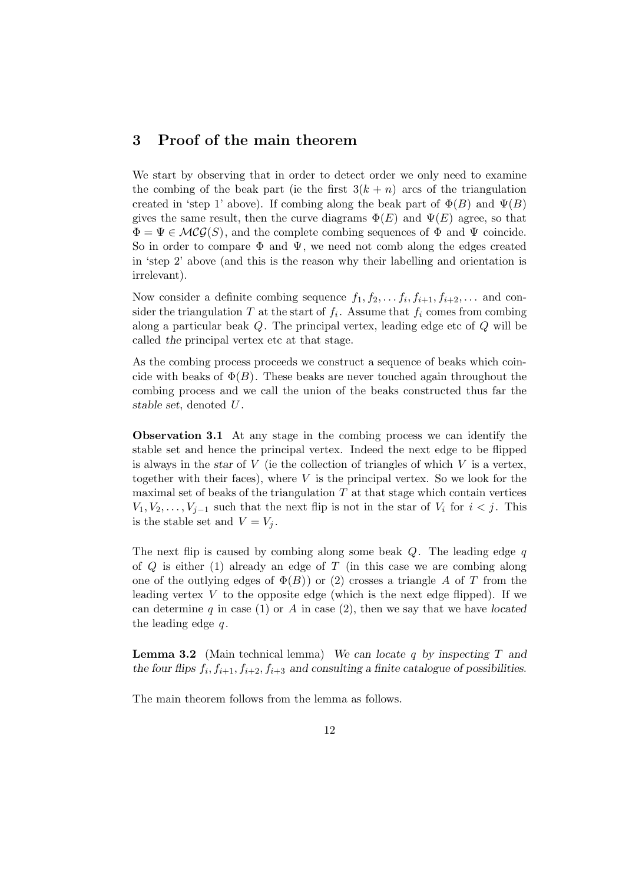# **3 Proof of the main theorem**

We start by observing that in order to detect order we only need to examine the combing of the beak part (ie the first  $3(k + n)$  arcs of the triangulation created in 'step 1' above). If combing along the beak part of  $\Phi(B)$  and  $\Psi(B)$ gives the same result, then the curve diagrams  $\Phi(E)$  and  $\Psi(E)$  agree, so that  $\Phi = \Psi \in \mathcal{MCG}(S)$ , and the complete combing sequences of  $\Phi$  and  $\Psi$  coincide. So in order to compare  $\Phi$  and  $\Psi$ , we need not comb along the edges created in 'step 2' above (and this is the reason why their labelling and orientation is irrelevant).

Now consider a definite combing sequence  $f_1, f_2, \ldots, f_i, f_{i+1}, f_{i+2}, \ldots$  and consider the triangulation T at the start of  $f_i$ . Assume that  $f_i$  comes from combing along a particular beak Q. The principal vertex, leading edge etc of Q will be called *the* principal vertex etc at that stage.

As the combing process proceeds we construct a sequence of beaks which coincide with beaks of  $\Phi(B)$ . These beaks are never touched again throughout the combing process and we call the union of the beaks constructed thus far the *stable set*, denoted U .

**Observation 3.1** At any stage in the combing process we can identify the stable set and hence the principal vertex. Indeed the next edge to be flipped is always in the *star* of V (ie the collection of triangles of which V is a vertex, together with their faces), where  $V$  is the principal vertex. So we look for the maximal set of beaks of the triangulation  $T$  at that stage which contain vertices  $V_1, V_2, \ldots, V_{i-1}$  such that the next flip is not in the star of  $V_i$  for  $i < j$ . This is the stable set and  $V = V_j$ .

The next flip is caused by combing along some beak  $Q$ . The leading edge q of  $Q$  is either (1) already an edge of  $T$  (in this case we are combing along one of the outlying edges of  $\Phi(B)$ ) or (2) crosses a triangle A of T from the leading vertex  $V$  to the opposite edge (which is the next edge flipped). If we can determine q in case (1) or A in case (2), then we say that we have *located* the leading edge  $q$ .

**Lemma 3.2** (Main technical lemma) *We can locate* q *by inspecting* T *and* the four flips  $f_i, f_{i+1}, f_{i+2}, f_{i+3}$  and consulting a finite catalogue of possibilities.

The main theorem follows from the lemma as follows.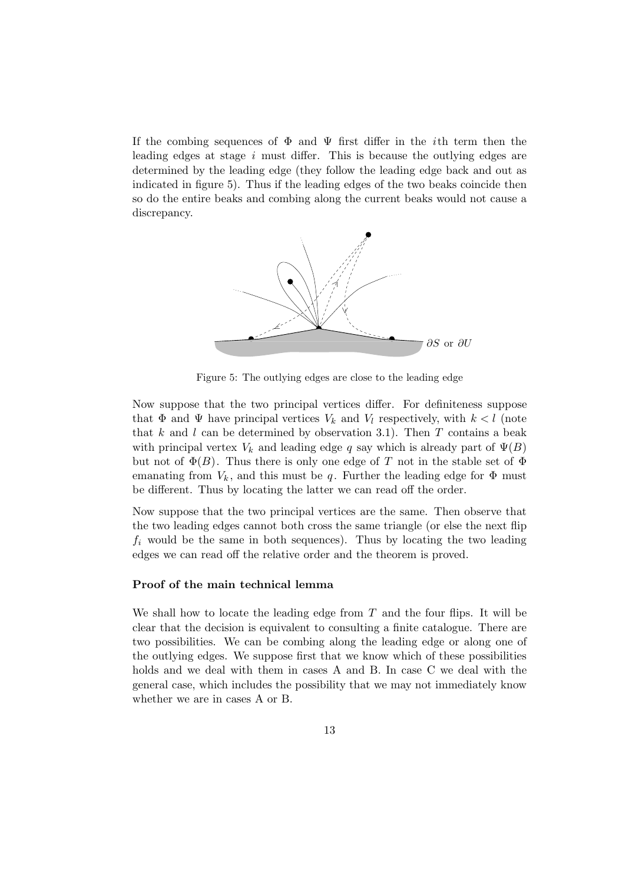If the combing sequences of  $\Phi$  and  $\Psi$  first differ in the *i*th term then the leading edges at stage i must differ. This is because the outlying edges are determined by the leading edge (they follow the leading edge back and out as indicated in figure 5). Thus if the leading edges of the two beaks coincide then so do the entire beaks and combing along the current beaks would not cause a discrepancy.



Figure 5: The outlying edges are close to the leading edge

Now suppose that the two principal vertices differ. For definiteness suppose that  $\Phi$  and  $\Psi$  have principal vertices  $V_k$  and  $V_l$  respectively, with  $k < l$  (note that  $k$  and  $l$  can be determined by observation 3.1). Then  $T$  contains a beak with principal vertex  $V_k$  and leading edge q say which is already part of  $\Psi(B)$ but not of  $\Phi(B)$ . Thus there is only one edge of T not in the stable set of  $\Phi$ emanating from  $V_k$ , and this must be q. Further the leading edge for  $\Phi$  must be different. Thus by locating the latter we can read off the order.

Now suppose that the two principal vertices are the same. Then observe that the two leading edges cannot both cross the same triangle (or else the next flip  $f_i$  would be the same in both sequences). Thus by locating the two leading edges we can read off the relative order and the theorem is proved.

## **Proof of the main technical lemma**

We shall how to locate the leading edge from  $T$  and the four flips. It will be clear that the decision is equivalent to consulting a finite catalogue. There are two possibilities. We can be combing along the leading edge or along one of the outlying edges. We suppose first that we know which of these possibilities holds and we deal with them in cases A and B. In case C we deal with the general case, which includes the possibility that we may not immediately know whether we are in cases A or B.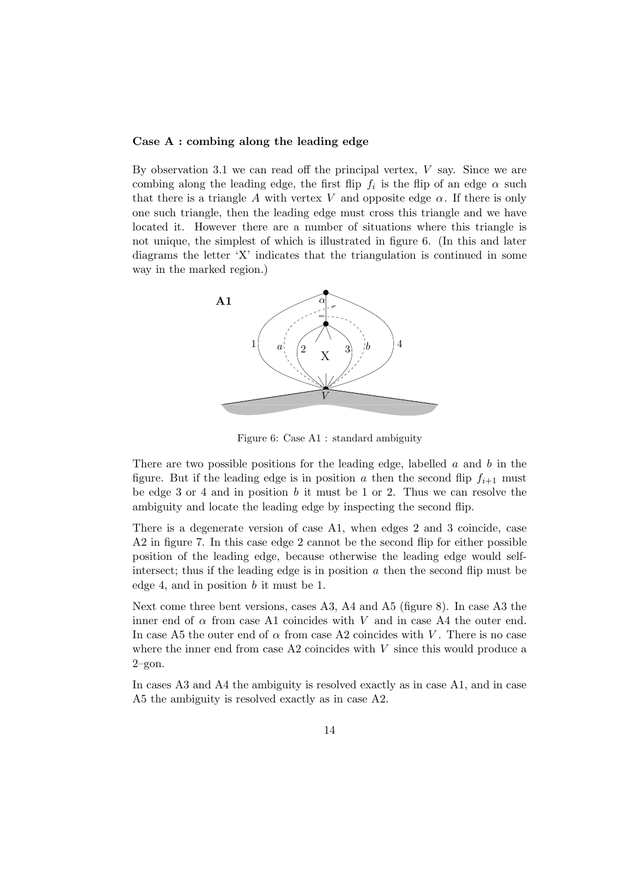## **Case A : combing along the leading edge**

By observation 3.1 we can read off the principal vertex,  $V$  say. Since we are combing along the leading edge, the first flip  $f_i$  is the flip of an edge  $\alpha$  such that there is a triangle A with vertex V and opposite edge  $\alpha$ . If there is only one such triangle, then the leading edge must cross this triangle and we have located it. However there are a number of situations where this triangle is not unique, the simplest of which is illustrated in figure 6. (In this and later diagrams the letter 'X' indicates that the triangulation is continued in some way in the marked region.)



Figure 6: Case A1 : standard ambiguity

There are two possible positions for the leading edge, labelled  $a$  and  $b$  in the figure. But if the leading edge is in position a then the second flip  $f_{i+1}$  must be edge 3 or 4 and in position  $b$  it must be 1 or 2. Thus we can resolve the ambiguity and locate the leading edge by inspecting the second flip.

There is a degenerate version of case A1, when edges 2 and 3 coincide, case A2 in figure 7. In this case edge 2 cannot be the second flip for either possible position of the leading edge, because otherwise the leading edge would selfintersect; thus if the leading edge is in position  $\alpha$  then the second flip must be edge 4, and in position b it must be 1.

Next come three bent versions, cases A3, A4 and A5 (figure 8). In case A3 the inner end of  $\alpha$  from case A1 coincides with V and in case A4 the outer end. In case A5 the outer end of  $\alpha$  from case A2 coincides with V. There is no case where the inner end from case  $A2$  coincides with  $V$  since this would produce a 2–gon.

In cases A3 and A4 the ambiguity is resolved exactly as in case A1, and in case A5 the ambiguity is resolved exactly as in case A2.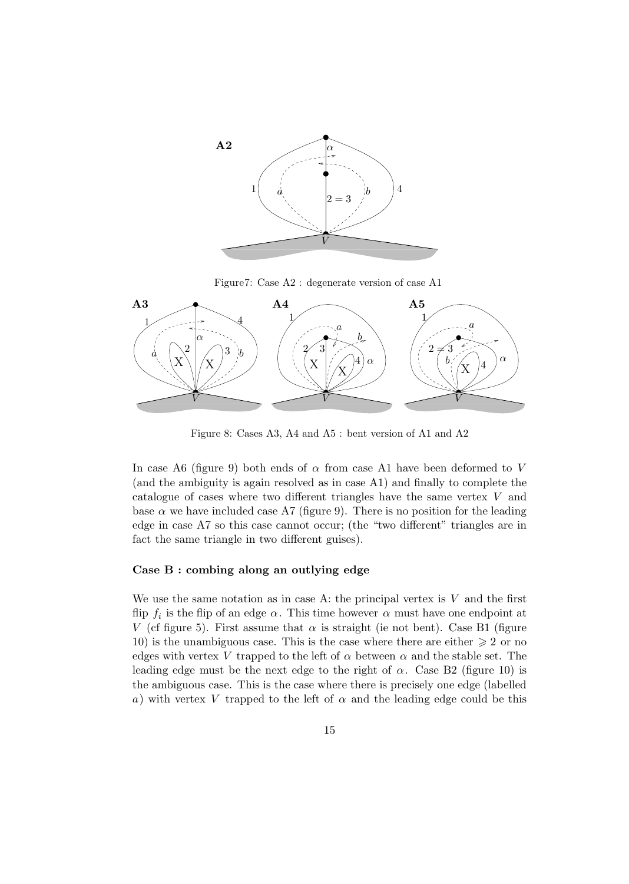

Figure7: Case A2 : degenerate version of case A1



Figure 8: Cases A3, A4 and A5 : bent version of A1 and A2

In case A6 (figure 9) both ends of  $\alpha$  from case A1 have been deformed to V (and the ambiguity is again resolved as in case A1) and finally to complete the catalogue of cases where two different triangles have the same vertex V and base  $\alpha$  we have included case A7 (figure 9). There is no position for the leading edge in case A7 so this case cannot occur; (the "two different" triangles are in fact the same triangle in two different guises).

#### **Case B : combing along an outlying edge**

We use the same notation as in case A: the principal vertex is  $V$  and the first flip  $f_i$  is the flip of an edge  $\alpha$ . This time however  $\alpha$  must have one endpoint at V (cf figure 5). First assume that  $\alpha$  is straight (ie not bent). Case B1 (figure 10) is the unambiguous case. This is the case where there are either  $\geq 2$  or no edges with vertex V trapped to the left of  $\alpha$  between  $\alpha$  and the stable set. The leading edge must be the next edge to the right of  $\alpha$ . Case B2 (figure 10) is the ambiguous case. This is the case where there is precisely one edge (labelled a) with vertex V trapped to the left of  $\alpha$  and the leading edge could be this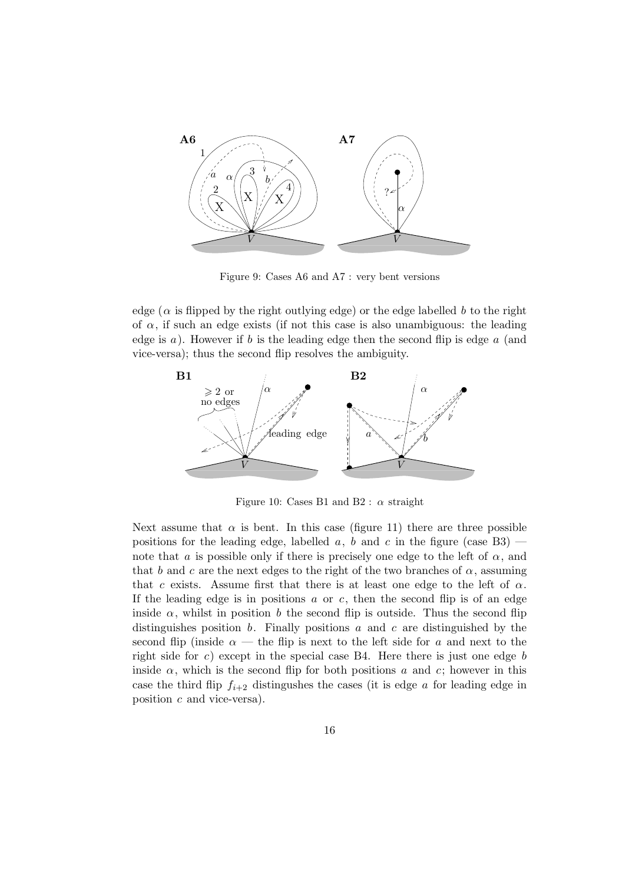

Figure 9: Cases A6 and A7 : very bent versions

edge ( $\alpha$  is flipped by the right outlying edge) or the edge labelled b to the right of  $\alpha$ , if such an edge exists (if not this case is also unambiguous: the leading edge is  $a$ ). However if  $b$  is the leading edge then the second flip is edge  $a$  (and vice-versa); thus the second flip resolves the ambiguity.



Figure 10: Cases B1 and B2 :  $\alpha$  straight

Next assume that  $\alpha$  is bent. In this case (figure 11) there are three possible positions for the leading edge, labelled a, b and c in the figure (case  $B3$ ) – note that a is possible only if there is precisely one edge to the left of  $\alpha$ , and that b and c are the next edges to the right of the two branches of  $\alpha$ , assuming that c exists. Assume first that there is at least one edge to the left of  $\alpha$ . If the leading edge is in positions  $a$  or  $c$ , then the second flip is of an edge inside  $\alpha$ , whilst in position b the second flip is outside. Thus the second flip distinguishes position  $b$ . Finally positions  $a$  and  $c$  are distinguished by the second flip (inside  $\alpha$  — the flip is next to the left side for a and next to the right side for c) except in the special case B4. Here there is just one edge b inside  $\alpha$ , which is the second flip for both positions a and c; however in this case the third flip  $f_{i+2}$  distingushes the cases (it is edge a for leading edge in position c and vice-versa).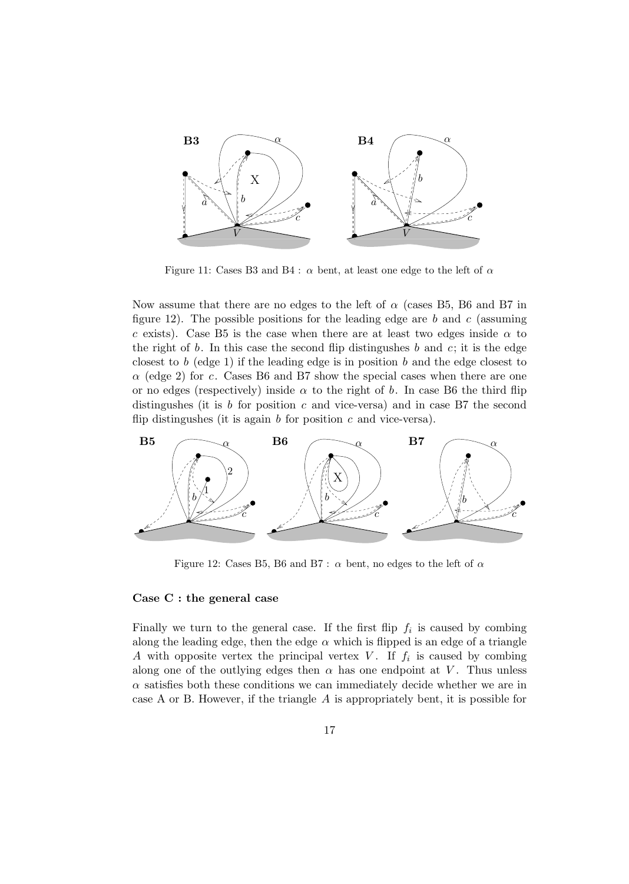

Figure 11: Cases B3 and B4 :  $\alpha$  bent, at least one edge to the left of  $\alpha$ 

Now assume that there are no edges to the left of  $\alpha$  (cases B5, B6 and B7 in figure 12). The possible positions for the leading edge are b and c (assuming c exists). Case B5 is the case when there are at least two edges inside  $\alpha$  to the right of b. In this case the second flip distingushes b and c; it is the edge closest to b (edge 1) if the leading edge is in position b and the edge closest to  $\alpha$  (edge 2) for c. Cases B6 and B7 show the special cases when there are one or no edges (respectively) inside  $\alpha$  to the right of b. In case B6 the third flip distingushes (it is  $b$  for position  $c$  and vice-versa) and in case B7 the second flip distingushes (it is again  $b$  for position  $c$  and vice-versa).



Figure 12: Cases B5, B6 and B7 :  $\alpha$  bent, no edges to the left of  $\alpha$ 

## **Case C : the general case**

Finally we turn to the general case. If the first flip  $f_i$  is caused by combing along the leading edge, then the edge  $\alpha$  which is flipped is an edge of a triangle A with opposite vertex the principal vertex V. If  $f_i$  is caused by combing along one of the outlying edges then  $\alpha$  has one endpoint at V. Thus unless  $\alpha$  satisfies both these conditions we can immediately decide whether we are in case A or B. However, if the triangle A is appropriately bent, it is possible for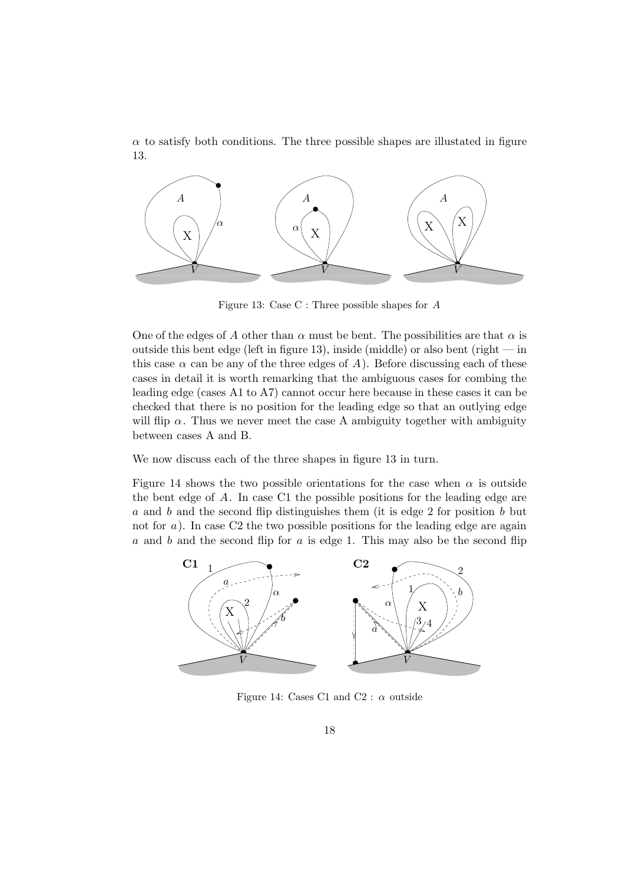$\alpha$  to satisfy both conditions. The three possible shapes are illustated in figure 13.



Figure 13: Case C : Three possible shapes for A

One of the edges of A other than  $\alpha$  must be bent. The possibilities are that  $\alpha$  is outside this bent edge (left in figure 13), inside (middle) or also bent (right  $-$  in this case  $\alpha$  can be any of the three edges of A). Before discussing each of these cases in detail it is worth remarking that the ambiguous cases for combing the leading edge (cases A1 to A7) cannot occur here because in these cases it can be checked that there is no position for the leading edge so that an outlying edge will flip  $\alpha$ . Thus we never meet the case A ambiguity together with ambiguity between cases A and B.

We now discuss each of the three shapes in figure 13 in turn.

Figure 14 shows the two possible orientations for the case when  $\alpha$  is outside the bent edge of A. In case C1 the possible positions for the leading edge are a and b and the second flip distinguishes them (it is edge 2 for position b but not for  $a$ ). In case C2 the two possible positions for the leading edge are again  $a$  and  $b$  and the second flip for  $a$  is edge 1. This may also be the second flip



Figure 14: Cases C1 and C2 :  $\alpha$  outside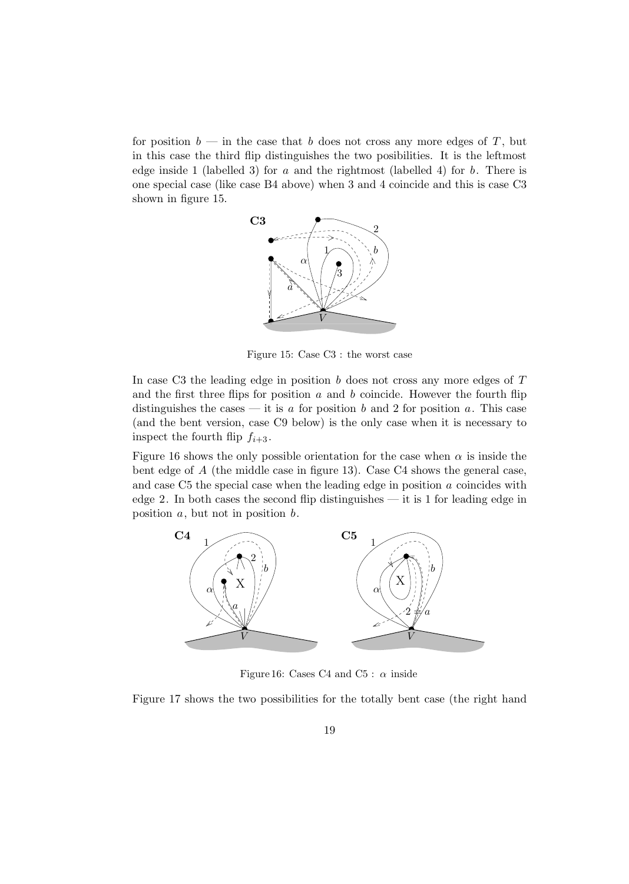for position  $b$  — in the case that b does not cross any more edges of T, but in this case the third flip distinguishes the two posibilities. It is the leftmost edge inside 1 (labelled 3) for a and the rightmost (labelled 4) for b. There is one special case (like case B4 above) when 3 and 4 coincide and this is case C3 shown in figure 15.



Figure 15: Case C3 : the worst case

In case C3 the leading edge in position  $b$  does not cross any more edges of  $T$ and the first three flips for position  $a$  and  $b$  coincide. However the fourth flip distinguishes the cases — it is a for position b and 2 for position a. This case (and the bent version, case C9 below) is the only case when it is necessary to inspect the fourth flip  $f_{i+3}$ .

Figure 16 shows the only possible orientation for the case when  $\alpha$  is inside the bent edge of A (the middle case in figure 13). Case C4 shows the general case, and case  $C5$  the special case when the leading edge in position  $a$  coincides with edge 2. In both cases the second flip distinguishes — it is 1 for leading edge in position  $a$ , but not in position  $b$ .



Figure 16: Cases C4 and C5 :  $\alpha$  inside

Figure 17 shows the two possibilities for the totally bent case (the right hand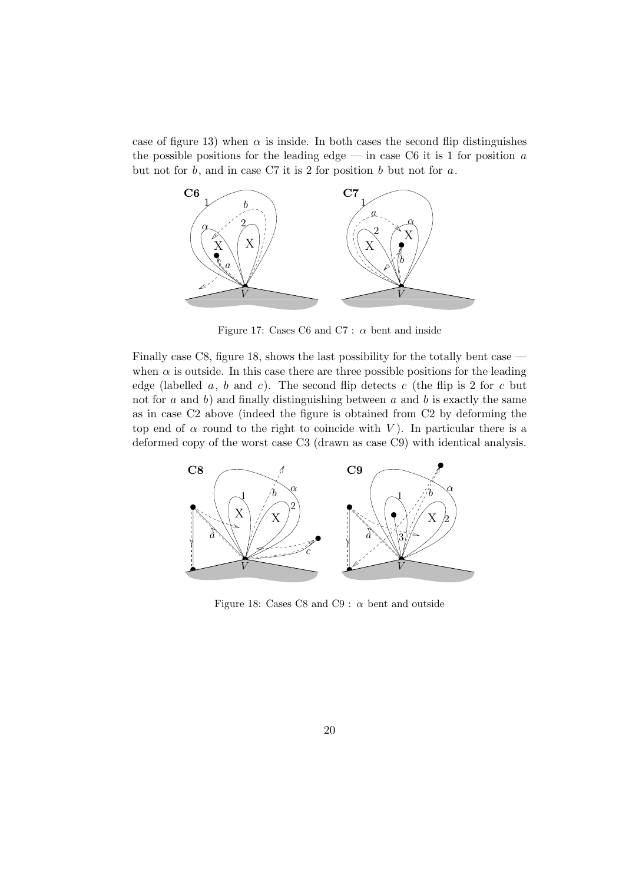case of figure 13) when  $\alpha$  is inside. In both cases the second flip distinguishes the possible positions for the leading edge — in case C6 it is 1 for position  $a$ but not for  $b$ , and in case C7 it is 2 for position  $b$  but not for  $a$ .



Figure 17: Cases C6 and C7 :  $\alpha$  bent and inside

Finally case C8, figure 18, shows the last possibility for the totally bent case when  $\alpha$  is outside. In this case there are three possible positions for the leading edge (labelled  $a, b$  and  $c$ ). The second flip detects  $c$  (the flip is 2 for  $c$  but not for  $a$  and  $b$ ) and finally distinguishing between  $a$  and  $b$  is exactly the same as in case C2 above (indeed the figure is obtained from C2 by deforming the top end of  $\alpha$  round to the right to coincide with V). In particular there is a deformed copy of the worst case C3 (drawn as case C9) with identical analysis.



Figure 18: Cases C8 and C9 :  $\alpha$  bent and outside